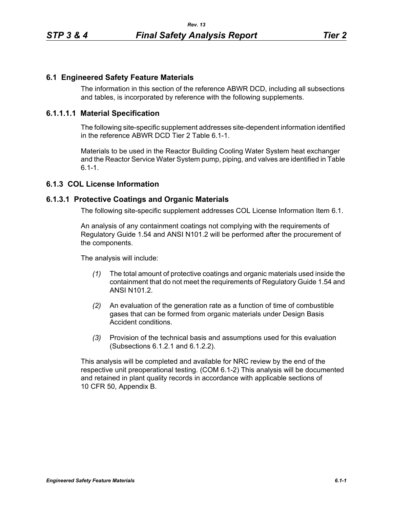## **6.1 Engineered Safety Feature Materials**

The information in this section of the reference ABWR DCD, including all subsections and tables, is incorporated by reference with the following supplements.

### **6.1.1.1.1 Material Specification**

The following site-specific supplement addresses site-dependent information identified in the reference ABWR DCD Tier 2 Table 6.1-1.

Materials to be used in the Reactor Building Cooling Water System heat exchanger and the Reactor Service Water System pump, piping, and valves are identified in Table  $6.1 - 1.$ 

# **6.1.3 COL License Information**

#### **6.1.3.1 Protective Coatings and Organic Materials**

The following site-specific supplement addresses COL License Information Item 6.1.

An analysis of any containment coatings not complying with the requirements of Regulatory Guide 1.54 and ANSI N101.2 will be performed after the procurement of the components.

The analysis will include:

- *(1)* The total amount of protective coatings and organic materials used inside the containment that do not meet the requirements of Regulatory Guide 1.54 and ANSI N101.2.
- *(2)* An evaluation of the generation rate as a function of time of combustible gases that can be formed from organic materials under Design Basis Accident conditions.
- *(3)* Provision of the technical basis and assumptions used for this evaluation (Subsections 6.1.2.1 and 6.1.2.2).

This analysis will be completed and available for NRC review by the end of the respective unit preoperational testing. (COM 6.1-2) This analysis will be documented and retained in plant quality records in accordance with applicable sections of 10 CFR 50, Appendix B.